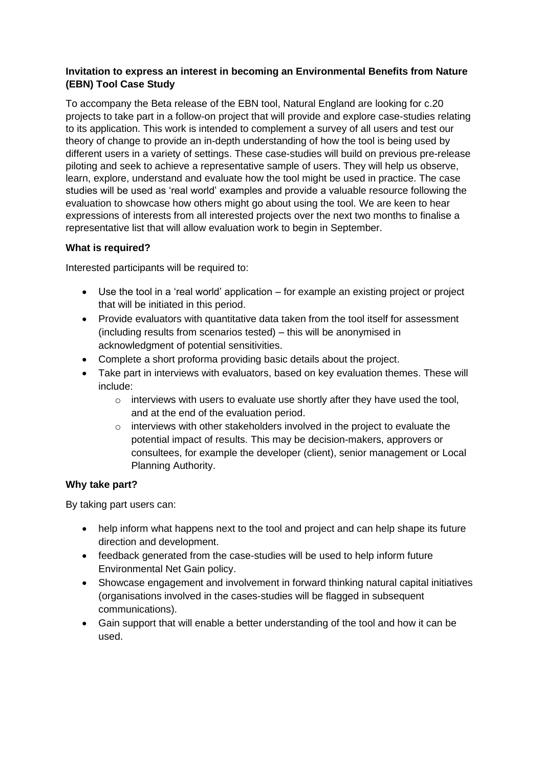## **Invitation to express an interest in becoming an Environmental Benefits from Nature (EBN) Tool Case Study**

To accompany the Beta release of the EBN tool, Natural England are looking for c.20 projects to take part in a follow-on project that will provide and explore case-studies relating to its application. This work is intended to complement a survey of all users and test our theory of change to provide an in-depth understanding of how the tool is being used by different users in a variety of settings. These case-studies will build on previous pre-release piloting and seek to achieve a representative sample of users. They will help us observe, learn, explore, understand and evaluate how the tool might be used in practice. The case studies will be used as 'real world' examples and provide a valuable resource following the evaluation to showcase how others might go about using the tool. We are keen to hear expressions of interests from all interested projects over the next two months to finalise a representative list that will allow evaluation work to begin in September.

# **What is required?**

Interested participants will be required to:

- Use the tool in a 'real world' application for example an existing project or project that will be initiated in this period.
- Provide evaluators with quantitative data taken from the tool itself for assessment (including results from scenarios tested) – this will be anonymised in acknowledgment of potential sensitivities.
- Complete a short proforma providing basic details about the project.
- Take part in interviews with evaluators, based on key evaluation themes. These will include:
	- o interviews with users to evaluate use shortly after they have used the tool, and at the end of the evaluation period.
	- o interviews with other stakeholders involved in the project to evaluate the potential impact of results. This may be decision-makers, approvers or consultees, for example the developer (client), senior management or Local Planning Authority.

## **Why take part?**

By taking part users can:

- help inform what happens next to the tool and project and can help shape its future direction and development.
- feedback generated from the case-studies will be used to help inform future Environmental Net Gain policy.
- Showcase engagement and involvement in forward thinking natural capital initiatives (organisations involved in the cases-studies will be flagged in subsequent communications).
- Gain support that will enable a better understanding of the tool and how it can be used.